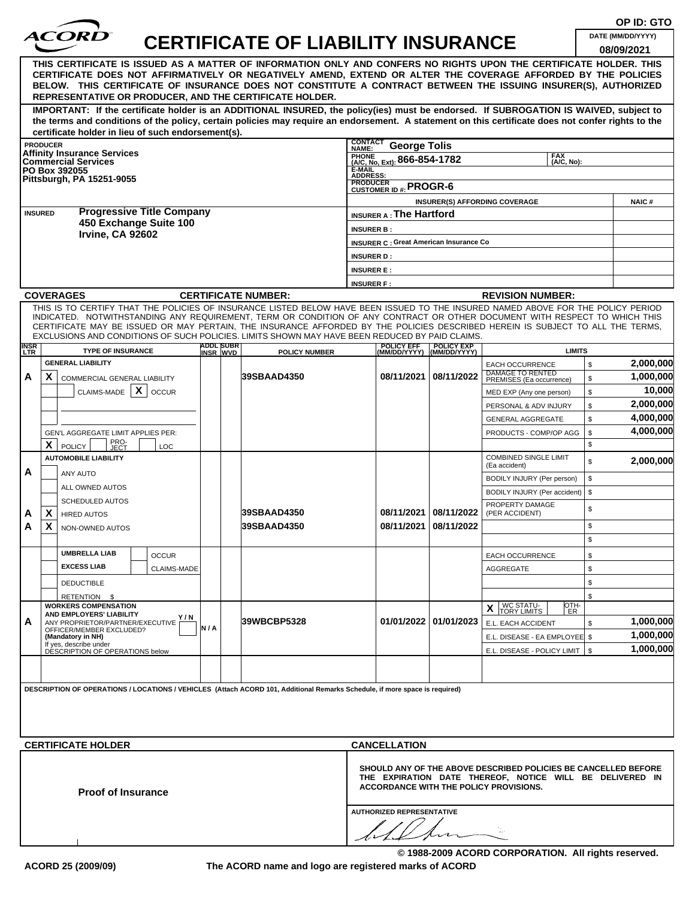|                                                                  |                                                                                                                                                                                                                                                                                                                                                                                                                                                                                                    |     |                              | <b>CERTIFICATE OF LIABILITY INSURANCE</b> |                                                                        |                                   |                                               |                                                         |    | OP ID: GTO<br>DATE (MM/DD/YYYY)<br>08/09/2021 |
|------------------------------------------------------------------|----------------------------------------------------------------------------------------------------------------------------------------------------------------------------------------------------------------------------------------------------------------------------------------------------------------------------------------------------------------------------------------------------------------------------------------------------------------------------------------------------|-----|------------------------------|-------------------------------------------|------------------------------------------------------------------------|-----------------------------------|-----------------------------------------------|---------------------------------------------------------|----|-----------------------------------------------|
|                                                                  | THIS CERTIFICATE IS ISSUED AS A MATTER OF INFORMATION ONLY AND CONFERS NO RIGHTS UPON THE CERTIFICATE HOLDER. THIS<br>CERTIFICATE DOES NOT AFFIRMATIVELY OR NEGATIVELY AMEND, EXTEND OR ALTER THE COVERAGE AFFORDED BY THE POLICIES<br>BELOW. THIS CERTIFICATE OF INSURANCE DOES NOT CONSTITUTE A CONTRACT BETWEEN THE ISSUING INSURER(S), AUTHORIZED<br>REPRESENTATIVE OR PRODUCER, AND THE CERTIFICATE HOLDER.                                                                                   |     |                              |                                           |                                                                        |                                   |                                               |                                                         |    |                                               |
|                                                                  | IMPORTANT: If the certificate holder is an ADDITIONAL INSURED, the policy(ies) must be endorsed. If SUBROGATION IS WAIVED, subject to<br>the terms and conditions of the policy, certain policies may require an endorsement. A statement on this certificate does not confer rights to the<br>certificate holder in lieu of such endorsement(s).                                                                                                                                                  |     |                              |                                           |                                                                        |                                   |                                               |                                                         |    |                                               |
| <b>PRODUCER</b>                                                  |                                                                                                                                                                                                                                                                                                                                                                                                                                                                                                    |     |                              |                                           | <b>CONTACT</b><br>NAME:                                                | <b>George Tolis</b>               |                                               |                                                         |    |                                               |
| <b>Affinity Insurance Services</b><br><b>Commercial Services</b> |                                                                                                                                                                                                                                                                                                                                                                                                                                                                                                    |     |                              |                                           | <b>FAX</b><br><b>FRUNE</b> (A/C, No. Ext): 866-854-1782<br>(A/C, No):  |                                   |                                               |                                                         |    |                                               |
|                                                                  | PO Box 392055<br>Pittsburgh, PA 15251-9055                                                                                                                                                                                                                                                                                                                                                                                                                                                         |     |                              |                                           | E-MAIL<br><b>ADDRESS:</b><br><b>PRODUCER</b><br>CUSTOMER ID #: PROGR-6 |                                   |                                               |                                                         |    |                                               |
|                                                                  |                                                                                                                                                                                                                                                                                                                                                                                                                                                                                                    |     |                              |                                           |                                                                        |                                   |                                               |                                                         |    |                                               |
| <b>INSURED</b>                                                   | <b>Progressive Title Company</b>                                                                                                                                                                                                                                                                                                                                                                                                                                                                   |     |                              |                                           | INSURER(S) AFFORDING COVERAGE<br>INSURER A: The Hartford               |                                   |                                               |                                                         |    | <b>NAIC#</b>                                  |
|                                                                  | 450 Exchange Suite 100                                                                                                                                                                                                                                                                                                                                                                                                                                                                             |     |                              |                                           | <b>INSURER B:</b>                                                      |                                   |                                               |                                                         |    |                                               |
|                                                                  | Irvine, CA 92602                                                                                                                                                                                                                                                                                                                                                                                                                                                                                   |     |                              |                                           |                                                                        |                                   | <b>INSURER C: Great American Insurance Co</b> |                                                         |    |                                               |
|                                                                  |                                                                                                                                                                                                                                                                                                                                                                                                                                                                                                    |     |                              |                                           | <b>INSURER D:</b>                                                      |                                   |                                               |                                                         |    |                                               |
|                                                                  |                                                                                                                                                                                                                                                                                                                                                                                                                                                                                                    |     |                              |                                           | <b>INSURER E:</b>                                                      |                                   |                                               |                                                         |    |                                               |
|                                                                  |                                                                                                                                                                                                                                                                                                                                                                                                                                                                                                    |     |                              |                                           | <b>INSURER F:</b>                                                      |                                   |                                               |                                                         |    |                                               |
|                                                                  | <b>COVERAGES</b>                                                                                                                                                                                                                                                                                                                                                                                                                                                                                   |     |                              | <b>CERTIFICATE NUMBER:</b>                |                                                                        |                                   |                                               | <b>REVISION NUMBER:</b>                                 |    |                                               |
|                                                                  | THIS IS TO CERTIFY THAT THE POLICIES OF INSURANCE LISTED BELOW HAVE BEEN ISSUED TO THE INSURED NAMED ABOVE FOR THE POLICY PERIOD<br>INDICATED. NOTWITHSTANDING ANY REQUIREMENT, TERM OR CONDITION OF ANY CONTRACT OR OTHER DOCUMENT WITH RESPECT TO WHICH THIS<br>CERTIFICATE MAY BE ISSUED OR MAY PERTAIN, THE INSURANCE AFFORDED BY THE POLICIES DESCRIBED HEREIN IS SUBJECT TO ALL THE TERMS.<br>EXCLUSIONS AND CONDITIONS OF SUCH POLICIES. LIMITS SHOWN MAY HAVE BEEN REDUCED BY PAID CLAIMS. |     |                              |                                           |                                                                        |                                   |                                               |                                                         |    |                                               |
| <b>INSR</b><br>LTR                                               | <b>TYPE OF INSURANCE</b>                                                                                                                                                                                                                                                                                                                                                                                                                                                                           |     | <b>ADDL SUBR</b><br>INSR WVD | <b>POLICY NUMBER</b>                      |                                                                        | <b>POLICY EFF</b><br>(MM/DD/YYYY) | <b>POLICY EXP</b><br>(MM/DD/YYYY)             | <b>LIMITS</b>                                           |    |                                               |
|                                                                  | <b>GENERAL LIABILITY</b>                                                                                                                                                                                                                                                                                                                                                                                                                                                                           |     |                              |                                           |                                                                        |                                   |                                               | <b>EACH OCCURRENCE</b>                                  | \$ | 2,000,000                                     |
| А                                                                | X<br>COMMERCIAL GENERAL LIABILITY                                                                                                                                                                                                                                                                                                                                                                                                                                                                  |     |                              | 39SBAAD4350                               |                                                                        | 08/11/2021                        | 08/11/2022                                    | DAMAGE TO RENTED<br>PREMISES (Ea occurrence)            | \$ | 1,000,000                                     |
|                                                                  | X<br>CLAIMS-MADE  <br><b>OCCUR</b>                                                                                                                                                                                                                                                                                                                                                                                                                                                                 |     |                              |                                           |                                                                        |                                   |                                               | MED EXP (Any one person)                                | \$ | 10,000                                        |
|                                                                  |                                                                                                                                                                                                                                                                                                                                                                                                                                                                                                    |     |                              |                                           |                                                                        |                                   |                                               | PERSONAL & ADV INJURY                                   | \$ | 2,000,000                                     |
|                                                                  |                                                                                                                                                                                                                                                                                                                                                                                                                                                                                                    |     |                              |                                           |                                                                        |                                   |                                               | <b>GENERAL AGGREGATE</b>                                | \$ | 4,000,000                                     |
|                                                                  | GEN'L AGGREGATE LIMIT APPLIES PER:                                                                                                                                                                                                                                                                                                                                                                                                                                                                 |     |                              |                                           |                                                                        |                                   |                                               | PRODUCTS - COMP/OP AGG                                  | \$ | 4,000,000                                     |
|                                                                  | PRO-<br>JECT<br>X<br>POLICY<br>LOC                                                                                                                                                                                                                                                                                                                                                                                                                                                                 |     |                              |                                           |                                                                        |                                   |                                               |                                                         | \$ |                                               |
|                                                                  | <b>AUTOMOBILE LIABILITY</b>                                                                                                                                                                                                                                                                                                                                                                                                                                                                        |     |                              |                                           |                                                                        |                                   |                                               | <b>COMBINED SINGLE LIMIT</b><br>(Ea accident)           | \$ | 2,000,000                                     |
| А                                                                | ANY AUTO                                                                                                                                                                                                                                                                                                                                                                                                                                                                                           |     |                              |                                           |                                                                        |                                   |                                               | BODILY INJURY (Per person)                              | \$ |                                               |
|                                                                  | ALL OWNED AUTOS                                                                                                                                                                                                                                                                                                                                                                                                                                                                                    |     |                              |                                           |                                                                        |                                   |                                               | BODILY INJURY (Per accident)                            | \$ |                                               |
| Α                                                                | <b>SCHEDULED AUTOS</b><br>$\boldsymbol{\mathsf{x}}$<br><b>HIRED AUTOS</b>                                                                                                                                                                                                                                                                                                                                                                                                                          |     |                              | 39SBAAD4350                               |                                                                        |                                   | 08/11/2021 08/11/2022                         | PROPERTY DAMAGE<br>(PER ACCIDENT)                       | \$ |                                               |
| A                                                                | $\mathbf{x}$<br>NON-OWNED AUTOS                                                                                                                                                                                                                                                                                                                                                                                                                                                                    |     |                              | 39SBAAD4350                               |                                                                        |                                   | 08/11/2021   08/11/2022                       |                                                         | \$ |                                               |
|                                                                  |                                                                                                                                                                                                                                                                                                                                                                                                                                                                                                    |     |                              |                                           |                                                                        |                                   |                                               |                                                         | \$ |                                               |
|                                                                  | <b>UMBRELLA LIAB</b><br><b>OCCUR</b>                                                                                                                                                                                                                                                                                                                                                                                                                                                               |     |                              |                                           |                                                                        |                                   |                                               | <b>EACH OCCURRENCE</b>                                  | \$ |                                               |
|                                                                  | <b>EXCESS LIAB</b><br><b>CLAIMS-MADE</b>                                                                                                                                                                                                                                                                                                                                                                                                                                                           |     |                              |                                           |                                                                        |                                   |                                               | AGGREGATE                                               | \$ |                                               |
|                                                                  | <b>DEDUCTIBLE</b>                                                                                                                                                                                                                                                                                                                                                                                                                                                                                  |     |                              |                                           |                                                                        |                                   |                                               |                                                         | \$ |                                               |
|                                                                  | RETENTION \$                                                                                                                                                                                                                                                                                                                                                                                                                                                                                       |     |                              |                                           |                                                                        |                                   |                                               |                                                         | \$ |                                               |
|                                                                  | <b>WORKERS COMPENSATION</b><br>AND EMPLOYERS' LIABILITY                                                                                                                                                                                                                                                                                                                                                                                                                                            |     |                              |                                           |                                                                        |                                   |                                               | $\boldsymbol{X}$ WC STATU-<br>TORY LIMITS<br>OTH-<br>ER |    |                                               |
|                                                                  | Y/N                                                                                                                                                                                                                                                                                                                                                                                                                                                                                                |     |                              | 39WBCBP5328                               |                                                                        |                                   | 01/01/2022 01/01/2023                         | E.L. EACH ACCIDENT                                      | \$ | 1,000,000                                     |
| А                                                                |                                                                                                                                                                                                                                                                                                                                                                                                                                                                                                    | N/A |                              |                                           |                                                                        |                                   |                                               | E.L. DISEASE - EA EMPLOYEE \$                           |    | 1,000,000                                     |
|                                                                  | ANY PROPRIETOR/PARTNER/EXECUTIVE<br>OFFICER/MEMBER EXCLUDED?<br>(Mandatory in NH)                                                                                                                                                                                                                                                                                                                                                                                                                  |     |                              |                                           |                                                                        |                                   |                                               |                                                         |    |                                               |
|                                                                  | If yes, describe under<br>DESCRIPTION OF OPERATIONS below                                                                                                                                                                                                                                                                                                                                                                                                                                          |     |                              |                                           |                                                                        |                                   |                                               | E.L. DISEASE - POLICY LIMIT   \$                        |    | 1,000,000                                     |

**ACORD 25 (2009/09) The ACORD name and logo are registered marks of ACORD**

**© 1988-2009 ACORD CORPORATION. All rights reserved.**